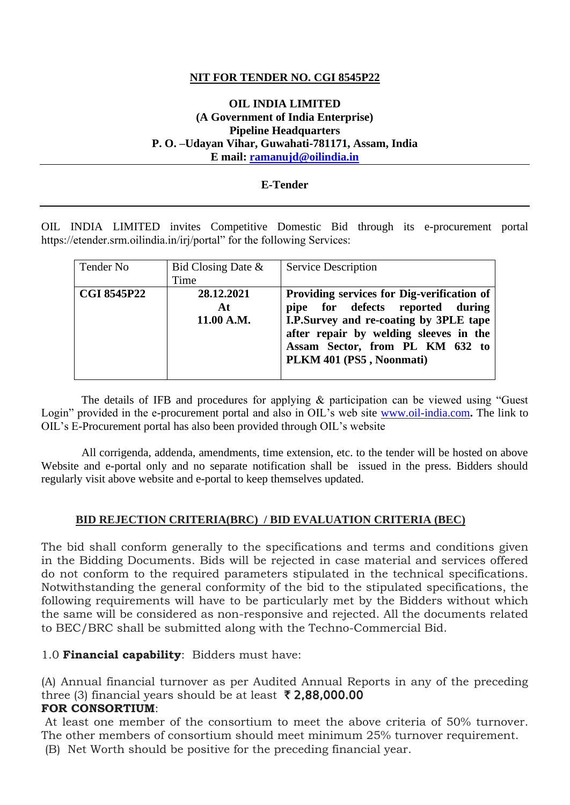### **NIT FOR TENDER NO. CGI 8545P22**

#### **OIL INDIA LIMITED (A Government of India Enterprise) Pipeline Headquarters P. O. –Udayan Vihar, Guwahati-781171, Assam, India E mail: [ramanujd@oilindia.in](mailto:ramanujd@oilindia.in)**

#### **E-Tender**

OIL INDIA LIMITED invites Competitive Domestic Bid through its e-procurement portal https://etender.srm.oilindia.in/irj/portal" for the following Services:

| Tender No          | Bid Closing Date $\&$<br>Time  | Service Description                                                                                                                                                                                                                      |
|--------------------|--------------------------------|------------------------------------------------------------------------------------------------------------------------------------------------------------------------------------------------------------------------------------------|
| <b>CGI 8545P22</b> | 28.12.2021<br>At<br>11.00 A.M. | <b>Providing services for Dig-verification of</b><br>pipe for defects reported during<br>I.P.Survey and re-coating by 3PLE tape<br>after repair by welding sleeves in the<br>Assam Sector, from PL KM 632 to<br>PLKM 401 (PS5, Noonmati) |

 The details of IFB and procedures for applying & participation can be viewed using "Guest Login" provided in the e-procurement portal and also in OIL's web site [www.oil-india.com](http://www.oil-india.com/)**.** The link to OIL's E-Procurement portal has also been provided through OIL's website

 All corrigenda, addenda, amendments, time extension, etc. to the tender will be hosted on above Website and e-portal only and no separate notification shall be issued in the press. Bidders should regularly visit above website and e-portal to keep themselves updated.

#### **BID REJECTION CRITERIA(BRC) / BID EVALUATION CRITERIA (BEC)**

The bid shall conform generally to the specifications and terms and conditions given in the Bidding Documents. Bids will be rejected in case material and services offered do not conform to the required parameters stipulated in the technical specifications. Notwithstanding the general conformity of the bid to the stipulated specifications, the following requirements will have to be particularly met by the Bidders without which the same will be considered as non-responsive and rejected. All the documents related to BEC/BRC shall be submitted along with the Techno-Commercial Bid.

1.0 **Financial capability**: Bidders must have:

(A) Annual financial turnover as per Audited Annual Reports in any of the preceding three (3) financial years should be at least  $\bar{\tau}$  2,88,000.00 **FOR CONSORTIUM**:

At least one member of the consortium to meet the above criteria of 50% turnover. The other members of consortium should meet minimum 25% turnover requirement. (B) Net Worth should be positive for the preceding financial year.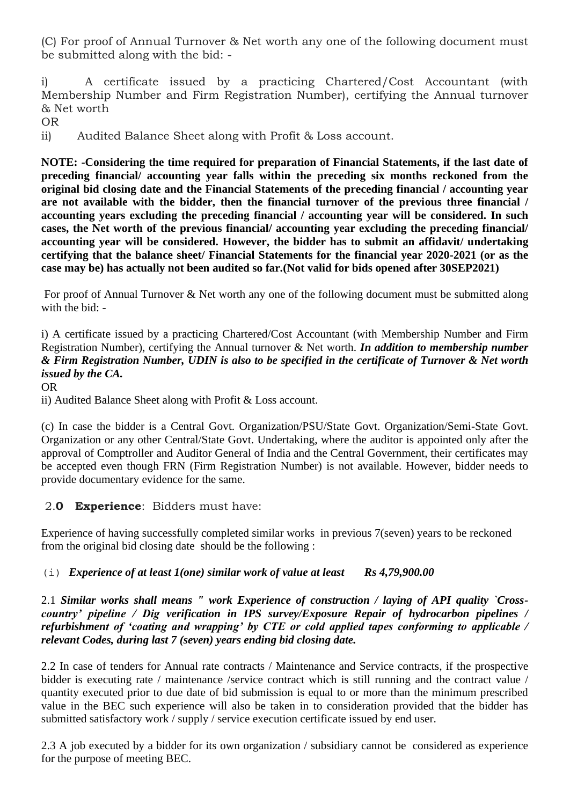(C) For proof of Annual Turnover & Net worth any one of the following document must be submitted along with the bid: -

i) A certificate issued by a practicing Chartered/Cost Accountant (with Membership Number and Firm Registration Number), certifying the Annual turnover & Net worth

OR

ii) Audited Balance Sheet along with Profit & Loss account.

**NOTE: -Considering the time required for preparation of Financial Statements, if the last date of preceding financial/ accounting year falls within the preceding six months reckoned from the original bid closing date and the Financial Statements of the preceding financial / accounting year are not available with the bidder, then the financial turnover of the previous three financial / accounting years excluding the preceding financial / accounting year will be considered. In such cases, the Net worth of the previous financial/ accounting year excluding the preceding financial/ accounting year will be considered. However, the bidder has to submit an affidavit/ undertaking certifying that the balance sheet/ Financial Statements for the financial year 2020-2021 (or as the case may be) has actually not been audited so far.(Not valid for bids opened after 30SEP2021)**

For proof of Annual Turnover & Net worth any one of the following document must be submitted along with the bid: -

i) A certificate issued by a practicing Chartered/Cost Accountant (with Membership Number and Firm Registration Number), certifying the Annual turnover & Net worth. *In addition to membership number & Firm Registration Number, UDIN is also to be specified in the certificate of Turnover & Net worth issued by the CA.*

OR

ii) Audited Balance Sheet along with Profit & Loss account.

(c) In case the bidder is a Central Govt. Organization/PSU/State Govt. Organization/Semi-State Govt. Organization or any other Central/State Govt. Undertaking, where the auditor is appointed only after the approval of Comptroller and Auditor General of India and the Central Government, their certificates may be accepted even though FRN (Firm Registration Number) is not available. However, bidder needs to provide documentary evidence for the same.

# 2.**0 Experience**: Bidders must have:

Experience of having successfully completed similar works in previous 7(seven) years to be reckoned from the original bid closing date should be the following :

### (i) *Experience of at least 1(one) similar work of value at least Rs 4,79,900.00*

### 2.1 *Similar works shall means " work Experience of construction / laying of API quality `Crosscountry' pipeline / Dig verification in IPS survey/Exposure Repair of hydrocarbon pipelines / refurbishment of 'coating and wrapping' by CTE or cold applied tapes conforming to applicable / relevant Codes, during last 7 (seven) years ending bid closing date.*

2.2 In case of tenders for Annual rate contracts / Maintenance and Service contracts, if the prospective bidder is executing rate / maintenance /service contract which is still running and the contract value / quantity executed prior to due date of bid submission is equal to or more than the minimum prescribed value in the BEC such experience will also be taken in to consideration provided that the bidder has submitted satisfactory work / supply / service execution certificate issued by end user.

2.3 A job executed by a bidder for its own organization / subsidiary cannot be considered as experience for the purpose of meeting BEC.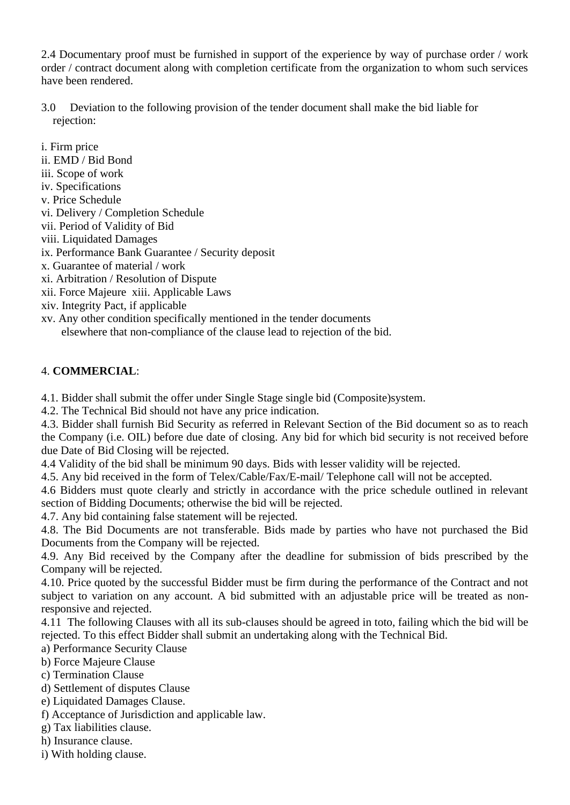2.4 Documentary proof must be furnished in support of the experience by way of purchase order / work order / contract document along with completion certificate from the organization to whom such services have been rendered.

- 3.0 Deviation to the following provision of the tender document shall make the bid liable for rejection:
- i. Firm price ii. EMD / Bid Bond iii. Scope of work iv. Specifications v. Price Schedule vi. Delivery / Completion Schedule vii. Period of Validity of Bid viii. Liquidated Damages ix. Performance Bank Guarantee / Security deposit x. Guarantee of material / work xi. Arbitration / Resolution of Dispute xii. Force Majeure xiii. Applicable Laws xiv. Integrity Pact, if applicable
- xv. Any other condition specifically mentioned in the tender documents elsewhere that non-compliance of the clause lead to rejection of the bid.

# 4. **COMMERCIAL**:

4.1. Bidder shall submit the offer under Single Stage single bid (Composite)system.

4.2. The Technical Bid should not have any price indication.

4.3. Bidder shall furnish Bid Security as referred in Relevant Section of the Bid document so as to reach the Company (i.e. OIL) before due date of closing. Any bid for which bid security is not received before due Date of Bid Closing will be rejected.

4.4 Validity of the bid shall be minimum 90 days. Bids with lesser validity will be rejected.

4.5. Any bid received in the form of Telex/Cable/Fax/E-mail/ Telephone call will not be accepted.

4.6 Bidders must quote clearly and strictly in accordance with the price schedule outlined in relevant section of Bidding Documents; otherwise the bid will be rejected.

4.7. Any bid containing false statement will be rejected.

4.8. The Bid Documents are not transferable. Bids made by parties who have not purchased the Bid Documents from the Company will be rejected.

4.9. Any Bid received by the Company after the deadline for submission of bids prescribed by the Company will be rejected.

4.10. Price quoted by the successful Bidder must be firm during the performance of the Contract and not subject to variation on any account. A bid submitted with an adjustable price will be treated as nonresponsive and rejected.

4.11 The following Clauses with all its sub-clauses should be agreed in toto, failing which the bid will be rejected. To this effect Bidder shall submit an undertaking along with the Technical Bid.

a) Performance Security Clause

- b) Force Majeure Clause
- c) Termination Clause
- d) Settlement of disputes Clause
- e) Liquidated Damages Clause.
- f) Acceptance of Jurisdiction and applicable law.
- g) Tax liabilities clause.
- h) Insurance clause.
- i) With holding clause.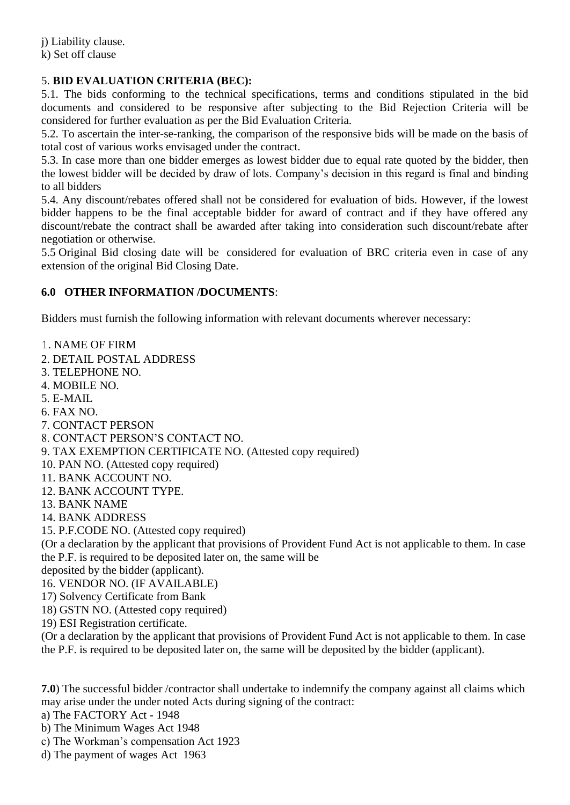j) Liability clause. k) Set off clause

# 5. **BID EVALUATION CRITERIA (BEC):**

5.1. The bids conforming to the technical specifications, terms and conditions stipulated in the bid documents and considered to be responsive after subjecting to the Bid Rejection Criteria will be considered for further evaluation as per the Bid Evaluation Criteria.

5.2. To ascertain the inter-se-ranking, the comparison of the responsive bids will be made on the basis of total cost of various works envisaged under the contract.

5.3. In case more than one bidder emerges as lowest bidder due to equal rate quoted by the bidder, then the lowest bidder will be decided by draw of lots. Company's decision in this regard is final and binding to all bidders

5.4. Any discount/rebates offered shall not be considered for evaluation of bids. However, if the lowest bidder happens to be the final acceptable bidder for award of contract and if they have offered any discount/rebate the contract shall be awarded after taking into consideration such discount/rebate after negotiation or otherwise.

5.5 Original Bid closing date will be considered for evaluation of BRC criteria even in case of any extension of the original Bid Closing Date.

### **6.0 OTHER INFORMATION /DOCUMENTS**:

Bidders must furnish the following information with relevant documents wherever necessary:

1. NAME OF FIRM

2. DETAIL POSTAL ADDRESS

- 3. TELEPHONE NO.
- 4. MOBILE NO.
- 5. E-MAIL
- 6. FAX NO.
- 7. CONTACT PERSON
- 8. CONTACT PERSON'S CONTACT NO.
- 9. TAX EXEMPTION CERTIFICATE NO. (Attested copy required)
- 10. PAN NO. (Attested copy required)
- 11. BANK ACCOUNT NO.
- 12. BANK ACCOUNT TYPE.
- 13. BANK NAME
- 14. BANK ADDRESS
- 15. P.F.CODE NO. (Attested copy required)

(Or a declaration by the applicant that provisions of Provident Fund Act is not applicable to them. In case the P.F. is required to be deposited later on, the same will be

deposited by the bidder (applicant).

- 16. VENDOR NO. (IF AVAILABLE)
- 17) Solvency Certificate from Bank
- 18) GSTN NO. (Attested copy required)
- 19) ESI Registration certificate.

(Or a declaration by the applicant that provisions of Provident Fund Act is not applicable to them. In case the P.F. is required to be deposited later on, the same will be deposited by the bidder (applicant).

**7.0**) The successful bidder /contractor shall undertake to indemnify the company against all claims which may arise under the under noted Acts during signing of the contract:

- a) The FACTORY Act 1948
- b) The Minimum Wages Act 1948
- c) The Workman's compensation Act 1923
- d) The payment of wages Act 1963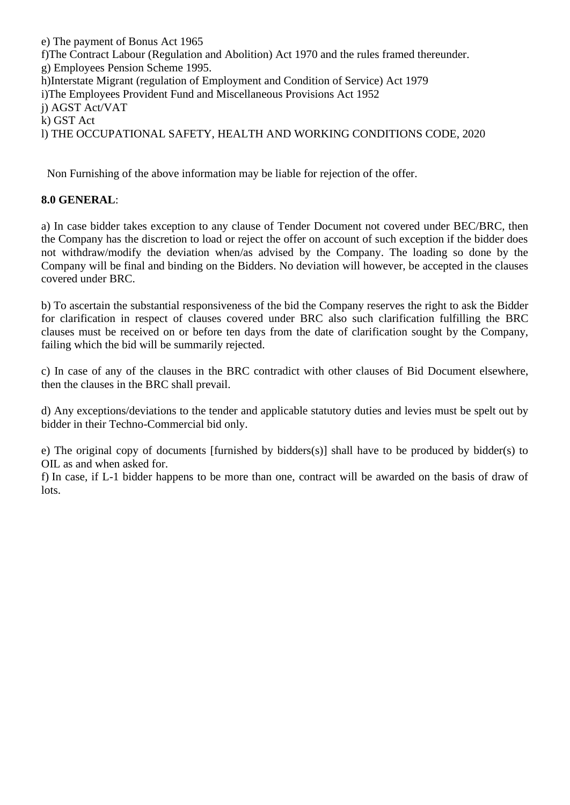e) The payment of Bonus Act 1965 f)The Contract Labour (Regulation and Abolition) Act 1970 and the rules framed thereunder. g) Employees Pension Scheme 1995. h)Interstate Migrant (regulation of Employment and Condition of Service) Act 1979 i)The Employees Provident Fund and Miscellaneous Provisions Act 1952 j) AGST Act/VAT k) GST Act l) THE OCCUPATIONAL SAFETY, HEALTH AND WORKING CONDITIONS CODE, 2020

Non Furnishing of the above information may be liable for rejection of the offer.

# **8.0 GENERAL**:

a) In case bidder takes exception to any clause of Tender Document not covered under BEC/BRC, then the Company has the discretion to load or reject the offer on account of such exception if the bidder does not withdraw/modify the deviation when/as advised by the Company. The loading so done by the Company will be final and binding on the Bidders. No deviation will however, be accepted in the clauses covered under BRC.

b) To ascertain the substantial responsiveness of the bid the Company reserves the right to ask the Bidder for clarification in respect of clauses covered under BRC also such clarification fulfilling the BRC clauses must be received on or before ten days from the date of clarification sought by the Company, failing which the bid will be summarily rejected.

c) In case of any of the clauses in the BRC contradict with other clauses of Bid Document elsewhere, then the clauses in the BRC shall prevail.

d) Any exceptions/deviations to the tender and applicable statutory duties and levies must be spelt out by bidder in their Techno-Commercial bid only.

e) The original copy of documents [furnished by bidders(s)] shall have to be produced by bidder(s) to OIL as and when asked for.

f) In case, if L-1 bidder happens to be more than one, contract will be awarded on the basis of draw of lots.